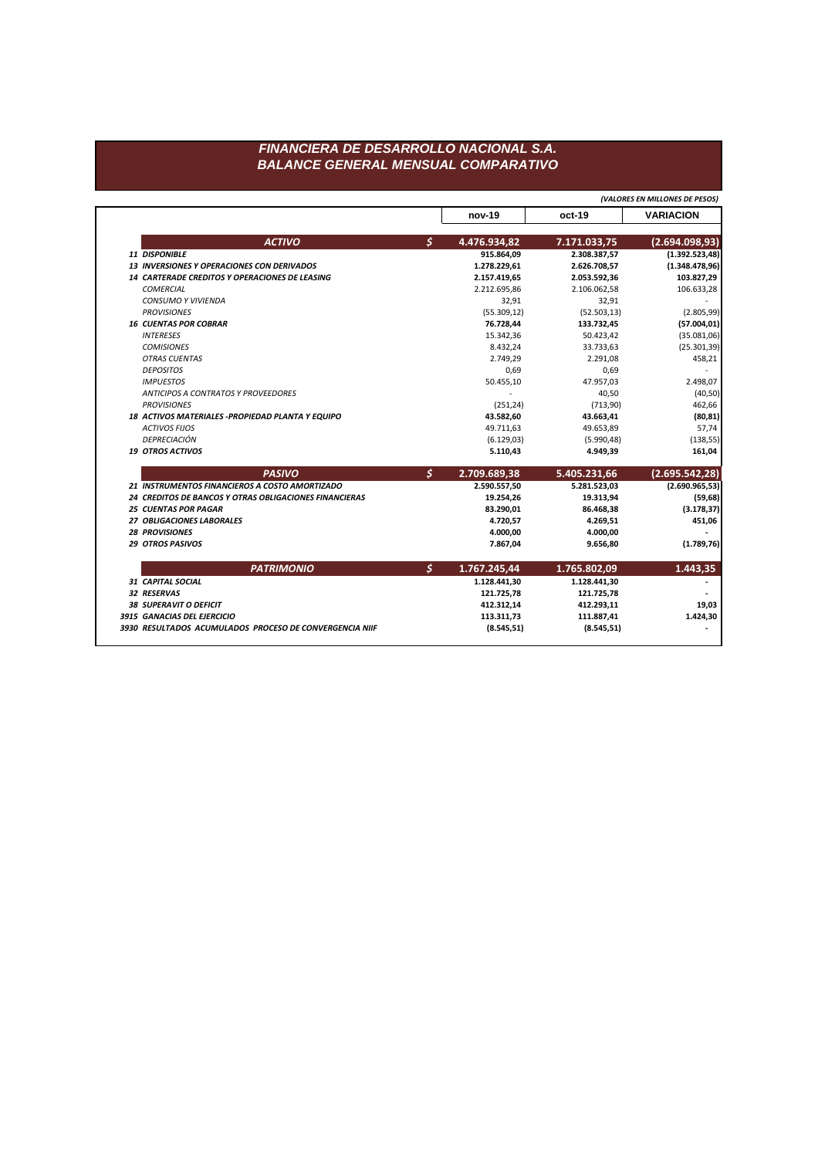## FINANCIERA DE DESARROLLO NACIONAL S.A. **BALANCE GENERAL MENSUAL COMPARATIVO**

(VALORES EN MILLONES DE PESOS)

|                                                         | nov-19             | oct-19       | <b>VARIACION</b> |
|---------------------------------------------------------|--------------------|--------------|------------------|
| <b>ACTIVO</b>                                           | \$<br>4.476.934,82 | 7.171.033,75 | (2.694.098, 93)  |
| 11 DISPONIBLE                                           | 915.864,09         | 2.308.387,57 | (1.392.523, 48)  |
| <b>13 INVERSIONES Y OPERACIONES CON DERIVADOS</b>       | 1.278.229,61       | 2.626.708,57 | (1.348.478,96)   |
| 14 CARTERADE CREDITOS Y OPERACIONES DE LEASING          | 2.157.419,65       | 2.053.592,36 | 103.827,29       |
| <b>COMERCIAL</b>                                        | 2.212.695,86       | 2.106.062,58 | 106.633,28       |
| CONSUMO Y VIVIENDA                                      | 32,91              | 32,91        |                  |
| <b>PROVISIONES</b>                                      | (55.309, 12)       | (52.503, 13) | (2.805, 99)      |
| <b>16 CUENTAS POR COBRAR</b>                            | 76.728,44          | 133.732,45   | (57.004, 01)     |
| <b>INTERESES</b>                                        | 15.342,36          | 50.423,42    | (35.081,06)      |
| <b>COMISIONES</b>                                       | 8.432,24           | 33.733,63    | (25.301, 39)     |
| <b>OTRAS CUENTAS</b>                                    | 2.749,29           | 2.291,08     | 458,21           |
| <b>DEPOSITOS</b>                                        | 0,69               | 0,69         |                  |
| <b>IMPUESTOS</b>                                        | 50.455,10          | 47.957,03    | 2.498,07         |
| ANTICIPOS A CONTRATOS Y PROVEEDORES                     |                    | 40,50        | (40, 50)         |
| <b>PROVISIONES</b>                                      | (251, 24)          | (713,90)     | 462,66           |
| 18 ACTIVOS MATERIALES - PROPIEDAD PLANTA Y EQUIPO       | 43.582,60          | 43.663,41    | (80, 81)         |
| <b>ACTIVOS FIJOS</b>                                    | 49.711,63          | 49.653,89    | 57,74            |
| DEPRECIACIÓN                                            | (6.129,03)         | (5.990, 48)  | (138, 55)        |
| <b>19 OTROS ACTIVOS</b>                                 | 5.110,43           | 4.949,39     | 161,04           |
| <b>PASIVO</b>                                           | \$<br>2.709.689,38 | 5.405.231,66 | (2.695.542, 28)  |
| 21 INSTRUMENTOS FINANCIEROS A COSTO AMORTIZADO          | 2.590.557,50       | 5.281.523,03 | (2.690.965, 53)  |
| 24 CREDITOS DE BANCOS Y OTRAS OBLIGACIONES FINANCIERAS  | 19.254,26          | 19.313,94    | (59, 68)         |
| <b>25 CUENTAS POR PAGAR</b>                             | 83.290,01          | 86.468,38    | (3.178, 37)      |
| 27 OBLIGACIONES LABORALES                               | 4.720,57           | 4.269,51     | 451,06           |
| <b>28 PROVISIONES</b>                                   | 4.000,00           | 4.000,00     |                  |
| <b>29 OTROS PASIVOS</b>                                 | 7.867,04           | 9.656,80     | (1.789, 76)      |
| <b>PATRIMONIO</b>                                       | \$<br>1.767.245,44 | 1.765.802,09 | 1.443,35         |
| 31 CAPITAL SOCIAL                                       | 1.128.441,30       | 1.128.441,30 |                  |
| 32 RESERVAS                                             | 121.725,78         | 121.725,78   |                  |
| <b>38 SUPERAVIT O DEFICIT</b>                           | 412.312,14         | 412.293,11   | 19,03            |
| 3915 GANACIAS DEL EJERCICIO                             | 113.311,73         | 111.887,41   | 1.424,30         |
| 3930 RESULTADOS ACUMULADOS PROCESO DE CONVERGENCIA NIIF | (8.545, 51)        | (8.545, 51)  |                  |